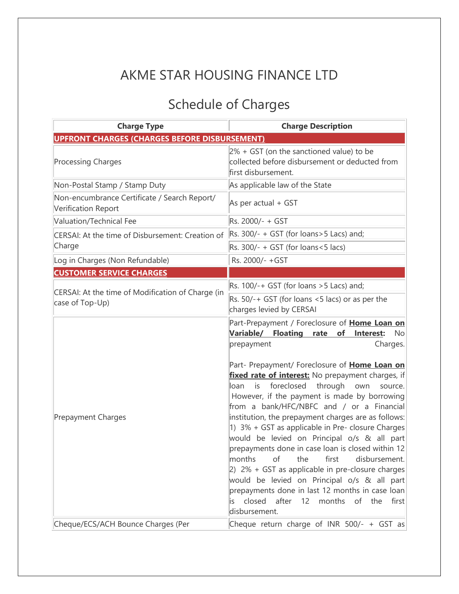## AKME STAR HOUSING FINANCE LTD

## Schedule of Charges

| <b>Charge Type</b>                                                   | <b>Charge Description</b>                                                                                                                                                                                                                                                                                                                                                                                                                                                                                                                                                                                                                                                                                                                                                                                                                                                                    |
|----------------------------------------------------------------------|----------------------------------------------------------------------------------------------------------------------------------------------------------------------------------------------------------------------------------------------------------------------------------------------------------------------------------------------------------------------------------------------------------------------------------------------------------------------------------------------------------------------------------------------------------------------------------------------------------------------------------------------------------------------------------------------------------------------------------------------------------------------------------------------------------------------------------------------------------------------------------------------|
| <b>UPFRONT CHARGES (CHARGES BEFORE DISBURSEMENT)</b>                 |                                                                                                                                                                                                                                                                                                                                                                                                                                                                                                                                                                                                                                                                                                                                                                                                                                                                                              |
| <b>Processing Charges</b>                                            | $2\%$ + GST (on the sanctioned value) to be<br>collected before disbursement or deducted from<br>first disbursement.                                                                                                                                                                                                                                                                                                                                                                                                                                                                                                                                                                                                                                                                                                                                                                         |
| Non-Postal Stamp / Stamp Duty                                        | As applicable law of the State                                                                                                                                                                                                                                                                                                                                                                                                                                                                                                                                                                                                                                                                                                                                                                                                                                                               |
| Non-encumbrance Certificate / Search Report/<br>Verification Report  | As per actual + GST                                                                                                                                                                                                                                                                                                                                                                                                                                                                                                                                                                                                                                                                                                                                                                                                                                                                          |
| Valuation/Technical Fee                                              | Rs. 2000/- + GST                                                                                                                                                                                                                                                                                                                                                                                                                                                                                                                                                                                                                                                                                                                                                                                                                                                                             |
| CERSAI: At the time of Disbursement: Creation of<br>Charge           | $\vert$ Rs. 300/- + GST (for loans>5 Lacs) and;                                                                                                                                                                                                                                                                                                                                                                                                                                                                                                                                                                                                                                                                                                                                                                                                                                              |
|                                                                      | Rs. $300/- + GST$ (for loans < 5 lacs)                                                                                                                                                                                                                                                                                                                                                                                                                                                                                                                                                                                                                                                                                                                                                                                                                                                       |
| Log in Charges (Non Refundable)                                      | Rs. 2000/- +GST                                                                                                                                                                                                                                                                                                                                                                                                                                                                                                                                                                                                                                                                                                                                                                                                                                                                              |
| <b>CUSTOMER SERVICE CHARGES</b>                                      |                                                                                                                                                                                                                                                                                                                                                                                                                                                                                                                                                                                                                                                                                                                                                                                                                                                                                              |
| CERSAI: At the time of Modification of Charge (in<br>case of Top-Up) | Rs. $100/-+$ GST (for loans $>5$ Lacs) and;                                                                                                                                                                                                                                                                                                                                                                                                                                                                                                                                                                                                                                                                                                                                                                                                                                                  |
|                                                                      | Rs. $50/- + GST$ (for loans <5 lacs) or as per the<br>charges levied by CERSAI                                                                                                                                                                                                                                                                                                                                                                                                                                                                                                                                                                                                                                                                                                                                                                                                               |
| Prepayment Charges                                                   | Part-Prepayment / Foreclosure of Home Loan on<br>Variable/ Floating<br>rate<br>of<br>Interest:<br>No<br>Charges.<br>prepayment<br>Part- Prepayment/ Foreclosure of Home Loan on<br>fixed rate of interest: No prepayment charges, if<br>foreclosed<br>through<br>is<br>own<br>source.<br>loan<br>However, if the payment is made by borrowing<br>from a bank/HFC/NBFC and / or a Financial<br>institution, the prepayment charges are as follows:<br>1) 3% + GST as applicable in Pre- closure Charges<br>would be levied on Principal o/s & all part<br>prepayments done in case loan is closed within 12<br>first<br>months<br>the<br>of<br>disbursement.<br>$ 2)$ 2% + GST as applicable in pre-closure charges<br>would be levied on Principal o/s & all part<br>prepayments done in last 12 months in case loan<br>closed<br>after<br>12 months of the<br>first<br>is.<br>disbursement. |
| Cheque/ECS/ACH Bounce Charges (Per                                   | Cheque return charge of INR 500/- + GST as                                                                                                                                                                                                                                                                                                                                                                                                                                                                                                                                                                                                                                                                                                                                                                                                                                                   |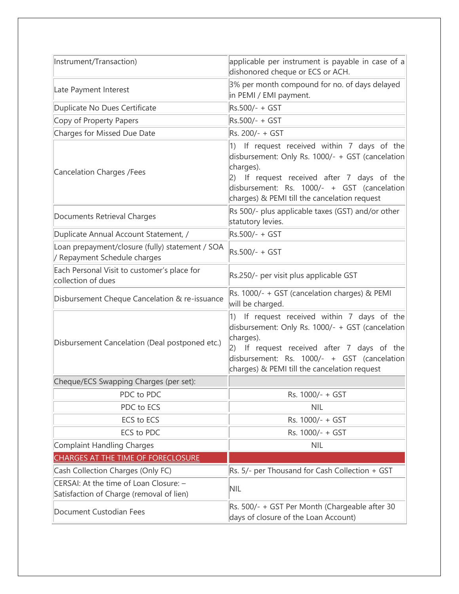| Instrument/Transaction)                                                            | applicable per instrument is payable in case of a<br>dishonored cheque or ECS or ACH.                                                                                                                                                                                 |
|------------------------------------------------------------------------------------|-----------------------------------------------------------------------------------------------------------------------------------------------------------------------------------------------------------------------------------------------------------------------|
| Late Payment Interest                                                              | 3% per month compound for no. of days delayed<br>in PEMI / EMI payment.                                                                                                                                                                                               |
| Duplicate No Dues Certificate                                                      | Rs.500/- + GST                                                                                                                                                                                                                                                        |
| Copy of Property Papers                                                            | Rs.500/- + GST                                                                                                                                                                                                                                                        |
| Charges for Missed Due Date                                                        | Rs. 200/- + GST                                                                                                                                                                                                                                                       |
| Cancelation Charges / Fees                                                         | $ 1\rangle$<br>If request received within 7 days of the<br>disbursement: Only Rs. 1000/- + GST (cancelation<br>charges).<br>2) If request received after 7 days of the<br>disbursement: Rs. 1000/- + GST (cancelation<br>charges) & PEMI till the cancelation request |
| Documents Retrieval Charges                                                        | Rs 500/- plus applicable taxes (GST) and/or other<br>statutory levies.                                                                                                                                                                                                |
| Duplicate Annual Account Statement, /                                              | Rs.500/- + GST                                                                                                                                                                                                                                                        |
| Loan prepayment/closure (fully) statement / SOA<br>/ Repayment Schedule charges    | Rs.500/- + GST                                                                                                                                                                                                                                                        |
| Each Personal Visit to customer's place for<br>collection of dues                  | Rs.250/- per visit plus applicable GST                                                                                                                                                                                                                                |
| Disbursement Cheque Cancelation & re-issuance                                      | Rs. 1000/- + GST (cancelation charges) & PEMI<br>will be charged.                                                                                                                                                                                                     |
| Disbursement Cancelation (Deal postponed etc.)                                     | $ 1\rangle$<br>If request received within 7 days of the<br>disbursement: Only Rs. 1000/- + GST (cancelation<br>charges).<br>2) If request received after 7 days of the<br>disbursement: Rs. 1000/- + GST (cancelation<br>charges) & PEMI till the cancelation request |
| Cheque/ECS Swapping Charges (per set):                                             |                                                                                                                                                                                                                                                                       |
| PDC to PDC                                                                         | Rs. 1000/- + GST                                                                                                                                                                                                                                                      |
| PDC to ECS                                                                         | <b>NIL</b>                                                                                                                                                                                                                                                            |
| ECS to ECS                                                                         | Rs. 1000/- + GST                                                                                                                                                                                                                                                      |
| ECS to PDC                                                                         | Rs. 1000/- + GST                                                                                                                                                                                                                                                      |
| Complaint Handling Charges                                                         | <b>NIL</b>                                                                                                                                                                                                                                                            |
| <b>CHARGES AT THE TIME OF FORECLOSURE</b>                                          |                                                                                                                                                                                                                                                                       |
| Cash Collection Charges (Only FC)                                                  | Rs. 5/- per Thousand for Cash Collection + GST                                                                                                                                                                                                                        |
| CERSAI: At the time of Loan Closure: -<br>Satisfaction of Charge (removal of lien) | <b>NIL</b>                                                                                                                                                                                                                                                            |
| Document Custodian Fees                                                            | Rs. 500/- + GST Per Month (Chargeable after 30<br>days of closure of the Loan Account)                                                                                                                                                                                |